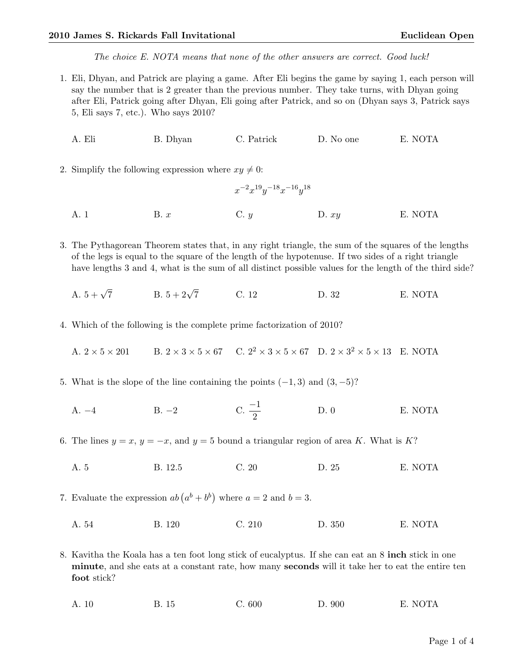The choice E. NOTA means that none of the other answers are correct. Good luck!

- 1. Eli, Dhyan, and Patrick are playing a game. After Eli begins the game by saying 1, each person will say the number that is 2 greater than the previous number. They take turns, with Dhyan going after Eli, Patrick going after Dhyan, Eli going after Patrick, and so on (Dhyan says 3, Patrick says 5, Eli says 7, etc.). Who says 2010?
	- A. Eli B. Dhyan C. Patrick D. No one E. NOTA
- 2. Simplify the following expression where  $xy \neq 0$ :
	- A. 1 B. x C. y D.  $xy$  E. NOTA

3. The Pythagorean Theorem states that, in any right triangle, the sum of the squares of the lengths of the legs is equal to the square of the length of the hypotenuse. If two sides of a right triangle have lengths 3 and 4, what is the sum of all distinct possible values for the length of the third side?

 $x^{-2}x^{19}y^{-18}x^{-16}y^{18}$ 

- A.  $5 + \sqrt{7}$ B.  $5 + 2\sqrt{7}$ C. 12 D. 32 E. NOTA
- 4. Which of the following is the complete prime factorization of 2010?

A.  $2 \times 5 \times 201$  B.  $2 \times 3 \times 5 \times 67$  C.  $2^2 \times 3 \times 5 \times 67$  D.  $2 \times 3^2 \times 5 \times 13$  E. NOTA

- 5. What is the slope of the line containing the points  $(-1, 3)$  and  $(3, -5)$ ?
	- A.  $-4$  B.  $-2$  C.  $\frac{-1}{2}$ D. 0 E. NOTA
- 6. The lines  $y = x$ ,  $y = -x$ , and  $y = 5$  bound a triangular region of area K. What is K?
	- A. 5 B. 12.5 C. 20 D. 25 E. NOTA

7. Evaluate the expression  $ab(a^b + b^b)$  where  $a = 2$  and  $b = 3$ .

A. 54 B. 120 C. 210 D. 350 E. NOTA

8. Kavitha the Koala has a ten foot long stick of eucalyptus. If she can eat an 8 inch stick in one minute, and she eats at a constant rate, how many seconds will it take her to eat the entire ten foot stick?

A. 10 B. 15 C. 600 D. 900 E. NOTA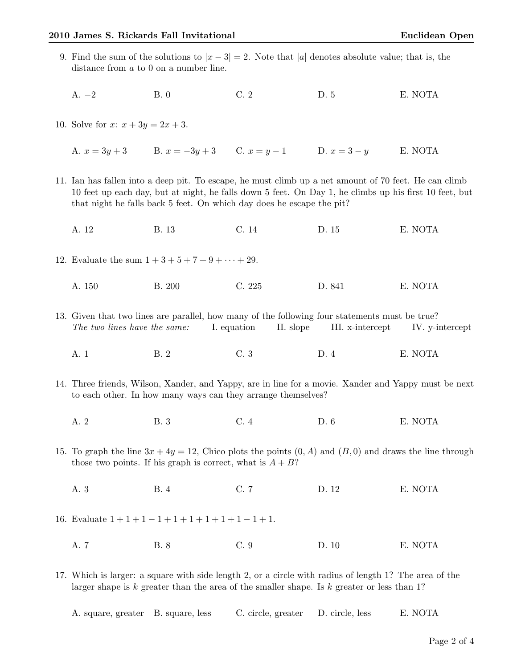9. Find the sum of the solutions to  $|x-3|=2$ . Note that |a| denotes absolute value; that is, the distance from a to 0 on a number line. A. −2 B. 0 C. 2 D. 5 E. NOTA 10. Solve for  $x: x + 3y = 2x + 3$ . A.  $x = 3y + 3$  B.  $x = -3y + 3$  C.  $x = y - 1$  D.  $x = 3 - y$  E. NOTA 11. Ian has fallen into a deep pit. To escape, he must climb up a net amount of 70 feet. He can climb 10 feet up each day, but at night, he falls down 5 feet. On Day 1, he climbs up his first 10 feet, but that night he falls back 5 feet. On which day does he escape the pit? A. 12 B. 13 C. 14 D. 15 E. NOTA 12. Evaluate the sum  $1 + 3 + 5 + 7 + 9 + \cdots + 29$ . A. 150 B. 200 C. 225 D. 841 E. NOTA 13. Given that two lines are parallel, how many of the following four statements must be true? The two lines have the same: I. equation II. slope III. x-intercept IV. y-intercept A. 1 B. 2 C. 3 D. 4 E. NOTA 14. Three friends, Wilson, Xander, and Yappy, are in line for a movie. Xander and Yappy must be next to each other. In how many ways can they arrange themselves? A. 2 B. 3 C. 4 D. 6 E. NOTA 15. To graph the line  $3x + 4y = 12$ , Chico plots the points  $(0, A)$  and  $(B, 0)$  and draws the line through those two points. If his graph is correct, what is  $A + B$ ? A. 3 B. 4 C. 7 D. 12 E. NOTA 16. Evaluate  $1+1+1-1+1+1+1+1+1-1+1$ . A. 7 B. 8 C. 9 D. 10 E. NOTA 17. Which is larger: a square with side length 2, or a circle with radius of length 1? The area of the larger shape is k greater than the area of the smaller shape. Is k greater or less than 1?

| A. square, greater B. square, less | C. circle, greater D. circle, less |  | E. NOTA |
|------------------------------------|------------------------------------|--|---------|
|------------------------------------|------------------------------------|--|---------|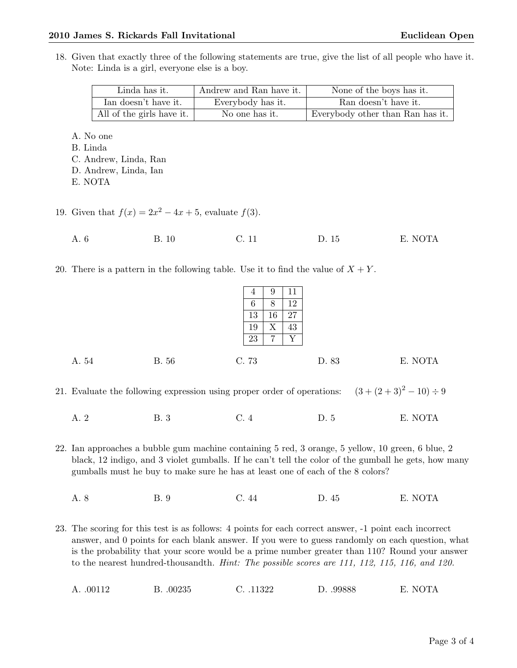## 2010 James S. Rickards Fall Invitational and Euclidean Open

18. Given that exactly three of the following statements are true, give the list of all people who have it. Note: Linda is a girl, everyone else is a boy.

| Linda has it.             | Andrew and Ran have it. | None of the boys has it.         |
|---------------------------|-------------------------|----------------------------------|
| Ian doesn't have it.      | Everybody has it.       | Ran doesn't have it.             |
| All of the girls have it. | No one has it.          | Everybody other than Ran has it. |

A. No one

B. Linda

- C. Andrew, Linda, Ran
- D. Andrew, Linda, Ian

E. NOTA

- 19. Given that  $f(x) = 2x^2 4x + 5$ , evaluate  $f(3)$ .
	- A. 6 B. 10 C. 11 D. 15 E. NOTA
- 20. There is a pattern in the following table. Use it to find the value of  $X + Y$ .

|       |              | 4<br>6<br>13<br>19<br>23 | 9<br>8<br>16<br>X<br>⇁ | TT<br>12<br>27<br>43<br>$\rm v$ |       |         |
|-------|--------------|--------------------------|------------------------|---------------------------------|-------|---------|
| A. 54 | <b>B.</b> 56 | C. 73                    |                        |                                 | D. 83 | E. NOTA |

21. Evaluate the following expression using proper order of operations:  $(3 + (2 + 3)^2 – 10) \div 9$ 

A. 2 B. 3 C. 4 D. 5 E. NOTA

22. Ian approaches a bubble gum machine containing 5 red, 3 orange, 5 yellow, 10 green, 6 blue, 2 black, 12 indigo, and 3 violet gumballs. If he can't tell the color of the gumball he gets, how many gumballs must he buy to make sure he has at least one of each of the 8 colors?

- A. 8 B. 9 C. 44 D. 45 E. NOTA
- 23. The scoring for this test is as follows: 4 points for each correct answer, -1 point each incorrect answer, and 0 points for each blank answer. If you were to guess randomly on each question, what is the probability that your score would be a prime number greater than 110? Round your answer to the nearest hundred-thousandth. *Hint: The possible scores are 111, 112, 115, 116, and 120.*

A. .00112 B. .00235 C. .11322 D. .99888 E. NOTA